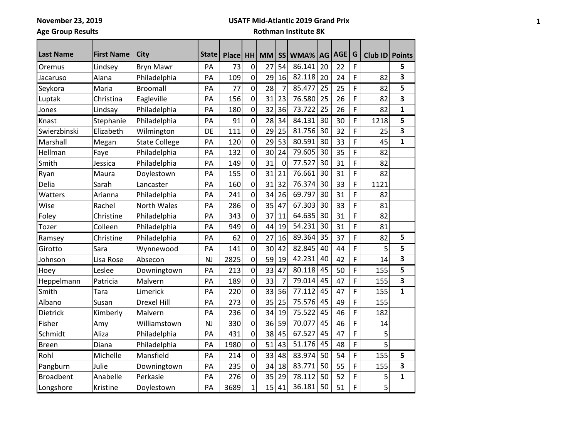**November 23, 2019 Age Group Results**

#### **USATF Mid-Atlantic 2019 Grand Prix**

| <b>Last Name</b> | <b>First Name</b> | <b>City</b>          | <b>State</b> | <b>Place</b> | HH             | <b>MM</b> | <b>SS</b>   | WMA%   |    | AG AGE | G | Club ID Points |              |
|------------------|-------------------|----------------------|--------------|--------------|----------------|-----------|-------------|--------|----|--------|---|----------------|--------------|
| Oremus           | Lindsey           | <b>Bryn Mawr</b>     | PA           | 73           | $\mathbf 0$    | 27        | 54          | 86.141 | 20 | 22     | F |                | 5            |
| Jacaruso         | Alana             | Philadelphia         | PA           | 109          | $\mathbf 0$    | 29        | 16          | 82.118 | 20 | 24     | F | 82             | 3            |
| Seykora          | Maria             | <b>Broomall</b>      | PA           | 77           | 0              | 28        | 7           | 85.477 | 25 | 25     | F | 82             | 5            |
| Luptak           | Christina         | Eagleville           | PA           | 156          | $\mathbf 0$    | 31        | 23          | 76.580 | 25 | 26     | F | 82             | 3            |
| Jones            | Lindsay           | Philadelphia         | PA           | 180          | $\mathbf 0$    | 32        | 36          | 73.722 | 25 | 26     | F | 82             | $\mathbf{1}$ |
| Knast            | Stephanie         | Philadelphia         | PA           | 91           | $\pmb{0}$      | 28        | 34          | 84.131 | 30 | 30     | F | 1218           | 5            |
| Swierzbinski     | Elizabeth         | Wilmington           | DE           | 111          | $\overline{0}$ | 29        | 25          | 81.756 | 30 | 32     | F | 25             | 3            |
| Marshall         | Megan             | <b>State College</b> | PA           | 120          | $\pmb{0}$      | 29        | 53          | 80.591 | 30 | 33     | F | 45             | 1            |
| Hellman          | Faye              | Philadelphia         | PA           | 132          | $\mathbf 0$    | 30        | 24          | 79.605 | 30 | 35     | F | 82             |              |
| Smith            | Jessica           | Philadelphia         | PA           | 149          | $\pmb{0}$      | 31        | $\mathbf 0$ | 77.527 | 30 | 31     | F | 82             |              |
| Ryan             | Maura             | Doylestown           | PA           | 155          | $\mathbf 0$    | 31        | 21          | 76.661 | 30 | 31     | F | 82             |              |
| Delia            | Sarah             | Lancaster            | PA           | 160          | $\pmb{0}$      | 31        | 32          | 76.374 | 30 | 33     | F | 1121           |              |
| Watters          | Arianna           | Philadelphia         | PA           | 241          | $\overline{0}$ | 34        | 26          | 69.797 | 30 | 31     | F | 82             |              |
| Wise             | Rachel            | <b>North Wales</b>   | PA           | 286          | $\mathbf 0$    | 35        | 47          | 67.303 | 30 | 33     | F | 81             |              |
| Foley            | Christine         | Philadelphia         | PA           | 343          | $\mathbf 0$    | 37        | 11          | 64.635 | 30 | 31     | F | 82             |              |
| Tozer            | Colleen           | Philadelphia         | PA           | 949          | 0              | 44        | 19          | 54.231 | 30 | 31     | F | 81             |              |
| Ramsey           | Christine         | Philadelphia         | PA           | 62           | $\mathbf 0$    | 27        | 16          | 89.364 | 35 | 37     | F | 82             | 5            |
| Girotto          | Sara              | Wynnewood            | PA           | 141          | 0              | 30        | 42          | 82.845 | 40 | 44     | F | 5              | 5            |
| Johnson          | Lisa Rose         | Absecon              | <b>NJ</b>    | 2825         | $\mathbf 0$    | 59        | 19          | 42.231 | 40 | 42     | F | 14             | 3            |
| Hoey             | Leslee            | Downingtown          | PA           | 213          | $\mathbf 0$    | 33        | 47          | 80.118 | 45 | 50     | F | 155            | 5            |
| Heppelmann       | Patricia          | Malvern              | PA           | 189          | $\mathbf 0$    | 33        | 7           | 79.014 | 45 | 47     | F | 155            | 3            |
| Smith            | Tara              | Limerick             | PA           | 220          | $\mathbf 0$    | 33        | 56          | 77.112 | 45 | 47     | F | 155            | $\mathbf{1}$ |
| Albano           | Susan             | <b>Drexel Hill</b>   | PA           | 273          | $\mathbf 0$    | 35        | 25          | 75.576 | 45 | 49     | F | 155            |              |
| Dietrick         | Kimberly          | Malvern              | PA           | 236          | $\mathbf 0$    | 34        | 19          | 75.522 | 45 | 46     | F | 182            |              |
| Fisher           | Amy               | Williamstown         | <b>NJ</b>    | 330          | $\mathbf 0$    | 36        | 59          | 70.077 | 45 | 46     | F | 14             |              |
| Schmidt          | Aliza             | Philadelphia         | PA           | 431          | $\overline{0}$ | 38        | 45          | 67.527 | 45 | 47     | F | 5              |              |
| <b>Breen</b>     | Diana             | Philadelphia         | PA           | 1980         | 0              | 51        | 43          | 51.176 | 45 | 48     | F | 5              |              |
| Rohl             | Michelle          | Mansfield            | PA           | 214          | $\pmb{0}$      | 33        | 48          | 83.974 | 50 | 54     | F | 155            | 5            |
| Pangburn         | Julie             | Downingtown          | PA           | 235          | $\pmb{0}$      | 34        | 18          | 83.771 | 50 | 55     | F | 155            | 3            |
| <b>Broadbent</b> | Anabelle          | Perkasie             | PA           | 276          | $\mathbf 0$    | 35        | 29          | 78.112 | 50 | 52     | F | 5              | $\mathbf 1$  |
| Longshore        | Kristine          | Doylestown           | PA           | 3689         | $\mathbf 1$    | 15        | 41          | 36.181 | 50 | 51     | F | 5              |              |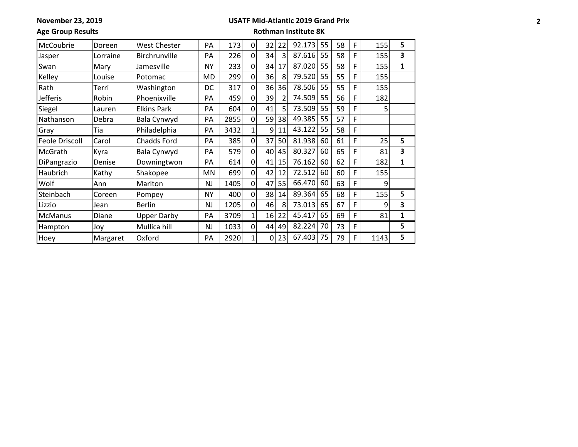**November 23, 2019**

### **USATF Mid-Atlantic 2019 Grand Prix**

**Age Group Results**

| McCoubrie             | Doreen   | <b>West Chester</b> | <b>PA</b> | 173  | 0 | 32 | 22 | 92.173 | 55 | 58 | F | 155  | 5 |
|-----------------------|----------|---------------------|-----------|------|---|----|----|--------|----|----|---|------|---|
| Jasper                | Lorraine | Birchrunville       | PA        | 226  | 0 | 34 | 3  | 87.616 | 55 | 58 | F | 155  | 3 |
| Swan                  | Mary     | Jamesville          | <b>NY</b> | 233  | 0 | 34 | 17 | 87.020 | 55 | 58 | F | 155  | 1 |
| Kelley                | Louise   | Potomac             | MD        | 299  | 0 | 36 | 8  | 79.520 | 55 | 55 | F | 155  |   |
| Rath                  | Terri    | Washington          | DC        | 317  | 0 | 36 | 36 | 78.506 | 55 | 55 | F | 155  |   |
| Jefferis              | Robin    | Phoenixville        | PA        | 459  | 0 | 39 |    | 74.509 | 55 | 56 | F | 182  |   |
| Siegel                | Lauren   | <b>Elkins Park</b>  | PA        | 604  | 0 | 41 |    | 73.509 | 55 | 59 | F | 5    |   |
| Nathanson             | Debra    | Bala Cynwyd         | PA        | 2855 | 0 | 59 | 38 | 49.385 | 55 | 57 | F |      |   |
| Gray                  | Tia      | Philadelphia        | PA        | 3432 | 1 | 9  | 11 | 43.122 | 55 | 58 | F |      |   |
| <b>Feole Driscoll</b> | Carol    | <b>Chadds Ford</b>  | PA        | 385  | 0 | 37 | 50 | 81.938 | 60 | 61 | F | 25   | 5 |
| McGrath               | Kyra     | Bala Cynwyd         | PA        | 579  | 0 | 40 | 45 | 80.327 | 60 | 65 | F | 81   | 3 |
| DiPangrazio           | Denise   | Downingtwon         | PA        | 614  | 0 | 41 | 15 | 76.162 | 60 | 62 | F | 182  | 1 |
| Haubrich              | Kathy    | Shakopee            | ΜN        | 699  | 0 | 42 | 12 | 72.512 | 60 | 60 | F | 155  |   |
| Wolf                  | Ann      | Marlton             | <b>NJ</b> | 1405 | 0 | 47 | 55 | 66.470 | 60 | 63 | F | 9    |   |
| Steinbach             | Coreen   | Pompey              | <b>NY</b> | 400  | 0 | 38 | 14 | 89.364 | 65 | 68 | F | 155  | 5 |
| Lizzio                | Jean     | <b>Berlin</b>       | <b>NJ</b> | 1205 | 0 | 46 | 8  | 73.013 | 65 | 67 | F | 9    | 3 |
| <b>McManus</b>        | Diane    | <b>Upper Darby</b>  | PA        | 3709 | 1 | 16 | 22 | 45.417 | 65 | 69 | F | 81   | 1 |
| Hampton               | Joy      | Mullica hill        | <b>NJ</b> | 1033 | 0 | 44 | 49 | 82.224 | 70 | 73 | F |      | 5 |
| Hoey                  | Margaret | Oxford              | PA        | 2920 | 1 | 0  | 23 | 67.403 | 75 | 79 | F | 1143 | 5 |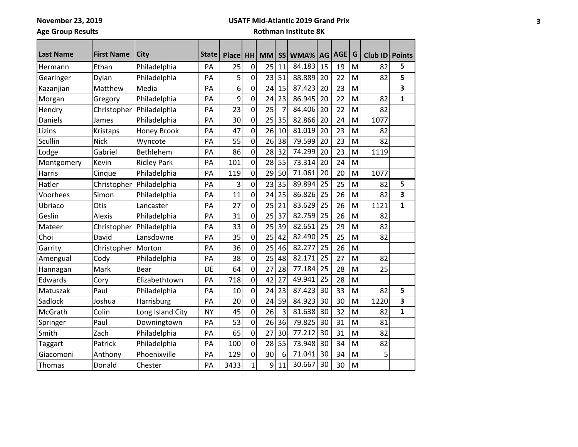**November 23, 2019**

#### **USATF Mid-Atlantic 2019 Grand Prix**

**Age Group Results**

| <b>Last Name</b> | <b>First Name</b> | City               | <b>State</b> | <b>Place</b> | <b>HH</b>      | <b>MM</b> | SS | WMA%   | AG | AGE | G | Club ID Points |              |
|------------------|-------------------|--------------------|--------------|--------------|----------------|-----------|----|--------|----|-----|---|----------------|--------------|
|                  | Ethan             |                    | PA           | 25           | 0              | 25        | 11 | 84.183 | 15 | 19  | M | 82             | 5            |
| Hermann          |                   | Philadelphia       |              |              |                |           |    |        |    |     |   |                |              |
| Gearinger        | Dylan             | Philadelphia       | PA           | 5            | 0              | 23        | 51 | 88.889 | 20 | 22  | M | 82             | 5            |
| Kazanjian        | Matthew           | Media              | PA           | 6            | $\mathbf 0$    | 24        | 15 | 87.423 | 20 | 23  | M |                | 3            |
| Morgan           | Gregory           | Philadelphia       | PA           | 9            | 0              | 24        | 23 | 86.945 | 20 | 22  | M | 82             | $\mathbf{1}$ |
| Hendry           | Christopher       | Philadelphia       | PA           | 23           | $\mathbf 0$    | 25        | 7  | 84.406 | 20 | 22  | M | 82             |              |
| Daniels          | James             | Philadelphia       | PA           | 30           | $\mathbf 0$    | 25        | 35 | 82.866 | 20 | 24  | M | 1077           |              |
| Lizins           | Kristaps          | <b>Honey Brook</b> | PA           | 47           | $\overline{0}$ | 26        | 10 | 81.019 | 20 | 23  | M | 82             |              |
| Scullin          | <b>Nick</b>       | Wyncote            | PA           | 55           | $\mathbf 0$    | 26        | 38 | 79.599 | 20 | 23  | M | 82             |              |
| Lodge            | Gabriel           | Bethlehem          | PA           | 86           | $\mathbf 0$    | 28        | 32 | 74.299 | 20 | 23  | M | 1119           |              |
| Montgomery       | Kevin             | <b>Ridley Park</b> | PA           | 101          | 0              | 28        | 55 | 73.314 | 20 | 24  | M |                |              |
| Harris           | Cinque            | Philadelphia       | PA           | 119          | 0              | 29        | 50 | 71.061 | 20 | 20  | M | 1077           |              |
| Hatler           | Christopher       | Philadelphia       | PA           | 3            | $\pmb{0}$      | 23        | 35 | 89.894 | 25 | 25  | M | 82             | 5            |
| Voorhees         | Simon             | Philadelphia       | PA           | 11           | 0              | 24        | 25 | 86.826 | 25 | 26  | M | 82             | 3            |
| Ubriaco          | Otis              | Lancaster          | PA           | 27           | $\overline{0}$ | 25        | 21 | 83.629 | 25 | 26  | M | 1121           | $\mathbf{1}$ |
| Geslin           | <b>Alexis</b>     | Philadelphia       | PA           | 31           | $\overline{0}$ | 25        | 37 | 82.759 | 25 | 26  | M | 82             |              |
| Mateer           | Christopher       | Philadelphia       | PA           | 33           | $\overline{0}$ | 25        | 39 | 82.651 | 25 | 29  | M | 82             |              |
| Choi             | David             | Lansdowne          | PA           | 35           | 0              | 25        | 42 | 82.490 | 25 | 25  | M | 82             |              |
| Garrity          | Christopher       | Morton             | PA           | 36           | $\mathbf 0$    | 25        | 46 | 82.277 | 25 | 26  | M |                |              |
| Amengual         | Cody              | Philadelphia       | PA           | 38           | $\overline{0}$ | 25        | 48 | 82.171 | 25 | 27  | M | 82             |              |
| Hannagan         | Mark              | <b>Bear</b>        | DE           | 64           | $\overline{0}$ | 27        | 28 | 77.184 | 25 | 28  | M | 25             |              |
| Edwards          | Cory              | Elizabethtown      | PA           | 718          | 0              | 42        | 27 | 49.941 | 25 | 28  | M |                |              |
| Matuszak         | Paul              | Philadelphia       | PA           | 10           | 0              | 24        | 23 | 87.423 | 30 | 33  | M | 82             | 5            |
| Sadlock          | Joshua            | Harrisburg         | PA           | 20           | $\mathbf 0$    | 24        | 59 | 84.923 | 30 | 30  | M | 1220           | 3            |
| McGrath          | Colin             | Long Island City   | <b>NY</b>    | 45           | $\overline{0}$ | 26        | 3  | 81.638 | 30 | 32  | M | 82             | $\mathbf{1}$ |
| Springer         | Paul              | Downingtown        | PA           | 53           | $\mathbf 0$    | 26        | 36 | 79.825 | 30 | 31  | M | 81             |              |
| Smith            | Zach              | Philadelphia       | PA           | 65           | $\mathbf 0$    | 27        | 30 | 77.212 | 30 | 31  | M | 82             |              |
| Taggart          | Patrick           | Philadelphia       | PA           | 100          | 0              | 28        | 55 | 73.948 | 30 | 34  | M | 82             |              |
| Giacomoni        | Anthony           | Phoenixville       | PA           | 129          | 0              | 30        | 6  | 71.041 | 30 | 34  | M | 5              |              |
| Thomas           | Donald            | Chester            | PA           | 3433         | $\mathbf{1}$   | 9         | 11 | 30.667 | 30 | 30  | M |                |              |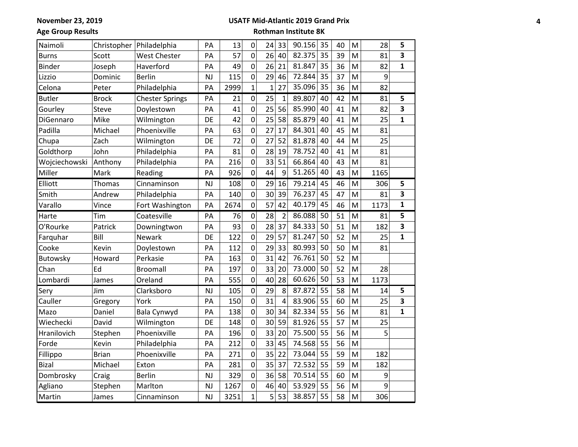#### **USATF Mid-Atlantic 2019 Grand Prix**

**Age Group Results**

| Naimoli       |              | Christopher   Philadelphia | PA        | 13   | $\mathbf 0$  | 24             | 33             | 90.156 | 35 | 40 | M | 28   | 5                       |
|---------------|--------------|----------------------------|-----------|------|--------------|----------------|----------------|--------|----|----|---|------|-------------------------|
| <b>Burns</b>  | Scott        | <b>West Chester</b>        | PA        | 57   | 0            | 26             | 40             | 82.375 | 35 | 39 | M | 81   | 3                       |
| <b>Binder</b> | Joseph       | Haverford                  | PA        | 49   | 0            | 26             | 21             | 81.847 | 35 | 36 | M | 82   | $\mathbf{1}$            |
| Lizzio        | Dominic      | <b>Berlin</b>              | <b>NJ</b> | 115  | 0            | 29             | 46             | 72.844 | 35 | 37 | M | 9    |                         |
| Celona        | Peter        | Philadelphia               | PA        | 2999 | $\mathbf{1}$ | $\overline{1}$ | 27             | 35.096 | 35 | 36 | M | 82   |                         |
| <b>Butler</b> | <b>Brock</b> | <b>Chester Springs</b>     | PA        | 21   | $\mathbf 0$  | 25             | $\mathbf{1}$   | 89.807 | 40 | 42 | M | 81   | 5                       |
| Gourley       | <b>Steve</b> | Doylestown                 | PA        | 41   | 0            | 25             | 56             | 85.990 | 40 | 41 | M | 82   | 3                       |
| DiGennaro     | Mike         | Wilmington                 | DE        | 42   | 0            | 25             | 58             | 85.879 | 40 | 41 | M | 25   | $\mathbf{1}$            |
| Padilla       | Michael      | Phoenixville               | PA        | 63   | $\mathbf 0$  | 27             | 17             | 84.301 | 40 | 45 | M | 81   |                         |
| Chupa         | Zach         | Wilmington                 | DE        | 72   | $\mathbf 0$  | 27             | 52             | 81.878 | 40 | 44 | M | 25   |                         |
| Goldthorp     | John         | Philadelphia               | PA        | 81   | $\mathbf 0$  | 28             | 19             | 78.752 | 40 | 41 | M | 81   |                         |
| Wojciechowski | Anthony      | Philadelphia               | PA        | 216  | 0            | 33             | 51             | 66.864 | 40 | 43 | M | 81   |                         |
| Miller        | Mark         | Reading                    | PA        | 926  | 0            | 44             | 9              | 51.265 | 40 | 43 | M | 1165 |                         |
| Elliott       | Thomas       | Cinnaminson                | <b>NJ</b> | 108  | 0            | 29             | 16             | 79.214 | 45 | 46 | M | 306  | 5                       |
| Smith         | Andrew       | Philadelphia               | PA        | 140  | 0            | 30             | 39             | 76.237 | 45 | 47 | M | 81   | 3                       |
| Varallo       | Vince        | Fort Washington            | PA        | 2674 | 0            | 57             | 42             | 40.179 | 45 | 46 | M | 1173 | $\mathbf{1}$            |
| Harte         | Tim          | Coatesville                | PA        | 76   | $\mathbf 0$  | 28             | $\overline{2}$ | 86.088 | 50 | 51 | M | 81   | 5                       |
| O'Rourke      | Patrick      | Downingtwon                | PA        | 93   | 0            | 28             | 37             | 84.333 | 50 | 51 | M | 182  | $\overline{\mathbf{3}}$ |
| Farquhar      | Bill         | Newark                     | DE        | 122  | 0            | 29             | 57             | 81.247 | 50 | 52 | M | 25   | $\mathbf{1}$            |
| Cooke         | Kevin        | Doylestown                 | PA        | 112  | 0            | 29             | 33             | 80.993 | 50 | 50 | M | 81   |                         |
| Butowsky      | Howard       | Perkasie                   | PA        | 163  | 0            | 31             | 42             | 76.761 | 50 | 52 | M |      |                         |
| Chan          | Ed           | <b>Broomall</b>            | PA        | 197  | 0            | 33             | 20             | 73.000 | 50 | 52 | M | 28   |                         |
| Lombardi      | James        | Oreland                    | PA        | 555  | 0            | 40             | 28             | 60.626 | 50 | 53 | M | 1173 |                         |
| Sery          | Jim          | Clarksboro                 | <b>NJ</b> | 105  | 0            | 29             | 8              | 87.872 | 55 | 58 | M | 14   | 5                       |
| Cauller       | Gregory      | York                       | PA        | 150  | 0            | 31             | $\overline{4}$ | 83.906 | 55 | 60 | M | 25   | 3                       |
| Mazo          | Daniel       | Bala Cynwyd                | PA        | 138  | 0            | 30             | 34             | 82.334 | 55 | 56 | M | 81   | $\mathbf{1}$            |
| Wiechecki     | David        | Wilmington                 | DE        | 148  | 0            | 30             | 59             | 81.926 | 55 | 57 | M | 25   |                         |
| Hranilovich   | Stephen      | Phoenixville               | PA        | 196  | 0            | 33             | 20             | 75.500 | 55 | 56 | M | 5    |                         |
| Forde         | Kevin        | Philadelphia               | PA        | 212  | 0            | 33             | 45             | 74.568 | 55 | 56 | M |      |                         |
| Fillippo      | <b>Brian</b> | Phoenixville               | PA        | 271  | 0            | 35             | 22             | 73.044 | 55 | 59 | M | 182  |                         |
| <b>Bizal</b>  | Michael      | Exton                      | PA        | 281  | 0            | 35             | 37             | 72.532 | 55 | 59 | M | 182  |                         |
| Dombrosky     | Craig        | <b>Berlin</b>              | <b>NJ</b> | 329  | 0            | 36             | 58             | 70.514 | 55 | 60 | M | 9    |                         |
| Agliano       | Stephen      | Marlton                    | <b>NJ</b> | 1267 | 0            | 46             | 40             | 53.929 | 55 | 56 | M | 9    |                         |
| Martin        | James        | Cinnaminson                | <b>NJ</b> | 3251 | $\mathbf{1}$ | 5              | 53             | 38.857 | 55 | 58 | M | 306  |                         |